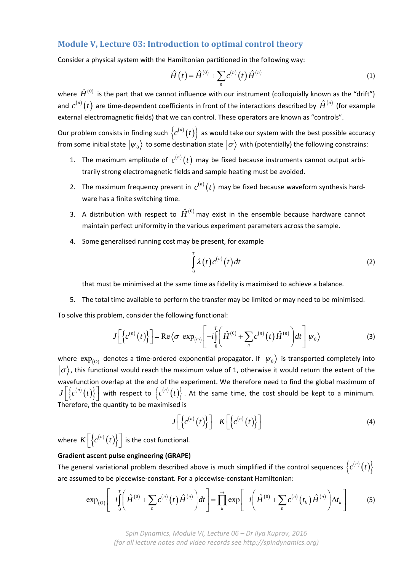## **Module V, Lecture 03: Introduction to optimal control theory**

Consider a physical system with the Hamiltonian partitioned in the following way:

$$
\hat{H}(t) = \hat{H}^{(0)} + \sum_{n} c^{(n)}(t) \hat{H}^{(n)}
$$
\n(1)

where  $\hat{H}^{(0)}$  is the part that we cannot influence with our instrument (colloquially known as the "drift") and  $c^{(n)}(t)$  are time-dependent coefficients in front of the interactions described by  $\hat{H}^{(n)}$  (for example external electromagnetic fields) that we can control. These operators are known as "controls".

Our problem consists in finding such  $\{c^{(n)}(t)\}\;$  as would take our system with the best possible accuracy from some initial state  $|\psi_0\rangle$  to some destination state  $|\sigma\rangle$  with (potentially) the following constrains:

- 1. The maximum amplitude of  $c^{(n)}(t)$  may be fixed because instruments cannot output arbitrarily strong electromagnetic fields and sample heating must be avoided.
- 2. The maximum frequency present in  $c^{(n)}(t)$  may be fixed because waveform synthesis hardware has a finite switching time.
- 3. A distribution with respect to  $\hat{H}^{(0)}$  may exist in the ensemble because hardware cannot maintain perfect uniformity in the various experiment parameters across the sample.
- 4. Some generalised running cost may be present, for example

$$
\int_{0}^{T} \lambda(t) c^{(n)}(t) dt
$$
 (2)

that must be minimised at the same time as fidelity is maximised to achieve a balance.

5. The total time available to perform the transfer may be limited or may need to be minimised.

To solve this problem, consider the following functional:

$$
J\left[\left\{c^{(n)}(t)\right\}\right] = \text{Re}\left\langle\sigma\left|\exp_{(0)}\right|\left[-i\int_{0}^{T}\left(\hat{H}^{(0)} + \sum_{n}c^{(n)}(t)\hat{H}^{(n)}\right)dt\right]\middle|\psi_{0}\right\rangle \tag{3}
$$

where  $\exp_{(0)}$  denotes a time-ordered exponential propagator. If  $|\psi_0\rangle$  is transported completely into  $|\sigma\rangle$ , this functional would reach the maximum value of 1, otherwise it would return the extent of the wavefunction overlap at the end of the experiment. We therefore need to find the global maximum of  $J\left[\left\{c^{(n)}(t)\right\}\right]$  with respect to  $\left\{c^{(n)}(t)\right\}$ . At the same time, the cost should be kept to a minimum. Therefore, the quantity to be maximised is

$$
J\left[\left\{c^{(n)}(t)\right\}\right]-K\left[\left\{c^{(n)}(t)\right\}\right]
$$
\n(4)

where  $K\left[\left\{c^{(n)}(t)\right\}\right]$  is the cost functional.

## **Gradient ascent pulse engineering (GRAPE)**

The general variational problem described above is much simplified if the control sequences  ${c^{(n)}(t)}$ are assumed to be piecewise‐constant. For a piecewise‐constant Hamiltonian:

$$
\exp_{(0)}\left[-i\int_{0}^{T}\left(\hat{H}^{(0)}+\sum_{n}c^{(n)}(t)\hat{H}^{(n)}\right)dt\right]=\prod_{k}^{T}\exp\left[-i\left(\hat{H}^{(0)}+\sum_{n}c^{(n)}(t_{k})\hat{H}^{(n)}\right)\Delta t_{k}\right]
$$
(5)

*Spin Dynamics, Module VI, Lecture 06 – Dr Ilya Kuprov, 2016 (for all lecture notes and video records see http://spindynamics.org)*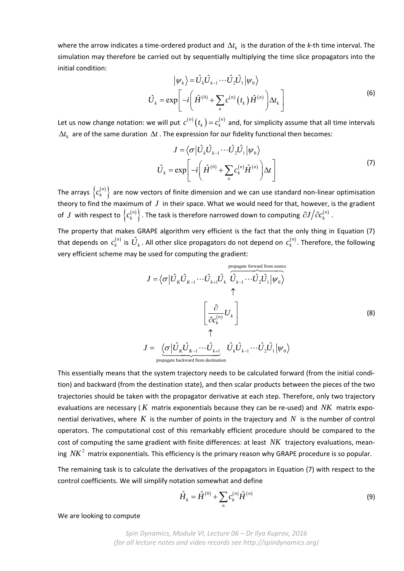where the arrow indicates a time-ordered product and  $\Delta t_k$  is the duration of the *k*-th time interval. The simulation may therefore be carried out by sequentially multiplying the time slice propagators into the initial condition:

$$
|\psi_k\rangle = \hat{U}_k \hat{U}_{k-1} \cdots \hat{U}_2 \hat{U}_1 | \psi_0 \rangle
$$
  

$$
\hat{U}_k = \exp\left[-i\left(\hat{H}^{(0)} + \sum_n c^{(n)}(t_k) \hat{H}^{(n)}\right) \Delta t_k\right]
$$
 (6)

Let us now change notation: we will put  $c^{(n)}(t_k)$  =  $c_k^{(n)}$  and, for simplicity assume that all time intervals  $\Delta t_k$  are of the same duration  $\Delta t$  . The expression for our fidelity functional then becomes:

$$
J = \langle \sigma | \hat{U}_{k} \hat{U}_{k-1} \cdots \hat{U}_{2} \hat{U}_{1} | \psi_{0} \rangle
$$
  

$$
\hat{U}_{k} = \exp \left[ -i \left( \hat{H}^{(0)} + \sum_{n} c_{k}^{(n)} \hat{H}^{(n)} \right) \Delta t \right]
$$
 (7)

The arrays  $\left\{ c_{k}^{(n)}\right\}$  are now vectors of finite dimension and we can use standard non-linear optimisation theory to find the maximum of *J* in their space. What we would need for that, however, is the gradient of  $J$  with respect to  $\left\{c^{(n)}_k\right\}$  . The task is therefore narrowed down to computing  $\left.\partial J\right/\!\partial c^{(n)}_k$  .

The property that makes GRAPE algorithm very efficient is the fact that the only thing in Equation (7) that depends on  $c_k^{(n)}$  is  $\hat{U}_k$  . All other slice propagators do not depend on  $\,c_k^{(n)}$  . Therefore, the following very efficient scheme may be used for computing the gradient:

$$
J = \langle \sigma | \hat{U}_{k} \hat{U}_{k-1} \cdots \hat{U}_{k+l} \hat{U}_{k} \overbrace{\hat{U}_{k-1} \cdots \hat{U}_{2}}^{\text{propagate forward from source}} \hat{U}_{1} | \psi_{0} \rangle
$$
  
\n
$$
\begin{bmatrix}\n\frac{\partial}{\partial c_{k}^{(n)}} U_{k} \\
\vdots \\
\frac{\partial}{\partial c_{k}^{(n)}} U_{k}\n\end{bmatrix}
$$
\n
$$
J = \underbrace{\langle \sigma | \hat{U}_{k} \hat{U}_{k-1} \cdots \hat{U}_{k+1}}_{\text{propagate backward from destination}} \hat{U}_{k} \hat{U}_{k-1} \cdots \hat{U}_{2} \hat{U}_{1} | \psi_{0} \rangle
$$
\n(8)

This essentially means that the system trajectory needs to be calculated forward (from the initial condi‐ tion) and backward (from the destination state), and then scalar products between the pieces of the two trajectories should be taken with the propagator derivative at each step. Therefore, only two trajectory evaluations are necessary ( $K$  matrix exponentials because they can be re-used) and  $NK$  matrix exponential derivatives, where  $K$  is the number of points in the trajectory and  $N$  is the number of control operators. The computational cost of this remarkably efficient procedure should be compared to the cost of computing the same gradient with finite differences: at least NK trajectory evaluations, meaning  $NK^2$  matrix exponentials. This efficiency is the primary reason why GRAPE procedure is so popular.

The remaining task is to calculate the derivatives of the propagators in Equation (7) with respect to the control coefficients. We will simplify notation somewhat and define

$$
\hat{H}_k = \hat{H}^{(0)} + \sum_n c_k^{(n)} \hat{H}^{(n)}
$$
\n(9)

We are looking to compute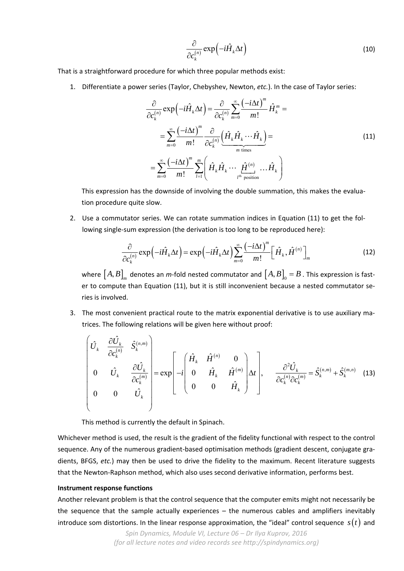$$
\frac{\partial}{\partial c_k^{(n)}} \exp\left(-i\hat{H}_k \Delta t\right) \tag{10}
$$

That is a straightforward procedure for which three popular methods exist:

1. Differentiate a power series (Taylor, Chebyshev, Newton, *etc.*). In the case of Taylor series:

$$
\frac{\partial}{\partial c_k^{(n)}} \exp\left(-i\hat{H}_k \Delta t\right) = \frac{\partial}{\partial c_k^{(n)}} \sum_{m=0}^{\infty} \frac{\left(-i\Delta t\right)^m}{m!} \hat{H}_k^m =
$$
\n
$$
= \sum_{m=0}^{\infty} \frac{\left(-i\Delta t\right)^m}{m!} \frac{\partial}{\partial c_k^{(n)}} \underbrace{\left(\hat{H}_k \hat{H}_k \cdots \hat{H}_k\right)}_{m \text{ times}} =
$$
\n
$$
= \sum_{m=0}^{\infty} \frac{\left(-i\Delta t\right)^m}{m!} \sum_{l=1}^m \left(\hat{H}_k \hat{H}_k \cdots \underbrace{\hat{H}_l^{(n)}}_{l^{\text{th}} \text{ position}} \cdots \hat{H}_k\right)
$$
\n(11)

This expression has the downside of involving the double summation, this makes the evalua‐ tion procedure quite slow.

2. Use a commutator series. We can rotate summation indices in Equation (11) to get the following single-sum expression (the derivation is too long to be reproduced here):

$$
\frac{\partial}{\partial c_k^{(n)}} \exp\left(-i\hat{H}_k \Delta t\right) = \exp\left(-i\hat{H}_k \Delta t\right) \sum_{m=0}^{\infty} \frac{\left(-i\Delta t\right)^m}{m!} \left[\hat{H}_k, \hat{H}^{(n)}\right]_m
$$
\n(12)

where  $[A, B]_m$  denotes an *m*-fold nested commutator and  $[A, B]_0 = B$  . This expression is faster to compute than Equation (11), but it is still inconvenient because a nested commutator series is involved.

3. The most convenient practical route to the matrix exponential derivative is to use auxiliary matrices. The following relations will be given here without proof:

$$
\begin{bmatrix}\n\hat{U}_{k} & \frac{\partial \hat{U}_{k}}{\partial c_{k}^{(n)}} & \hat{S}_{k}^{(n,m)} \\
0 & \hat{U}_{k} & \frac{\partial \hat{U}_{k}}{\partial c_{k}^{(m)}} \\
0 & 0 & \hat{U}_{k}\n\end{bmatrix} = \exp\left[-i\begin{bmatrix}\n\hat{H}_{k} & \hat{H}^{(n)} & 0 \\
0 & \hat{H}_{k} & \hat{H}^{(m)} \\
0 & 0 & \hat{H}_{k}\n\end{bmatrix}\right]\n\rightarrow \frac{\partial^{2} \hat{U}_{k}}{\partial c_{k}^{(n)} \partial c_{k}^{(m)}} = \hat{S}_{k}^{(n,m)} + \hat{S}_{k}^{(m,n)}\n\tag{13}
$$

This method is currently the default in Spinach.

Whichever method is used, the result is the gradient of the fidelity functional with respect to the control sequence. Any of the numerous gradient-based optimisation methods (gradient descent, conjugate gradients, BFGS, *etc.*) may then be used to drive the fidelity to the maximum. Recent literature suggests that the Newton‐Raphson method, which also uses second derivative information, performs best.

## **Instrument response functions**

Another relevant problem is that the control sequence that the computer emits might not necessarily be the sequence that the sample actually experiences  $-$  the numerous cables and amplifiers inevitably introduce som distortions. In the linear response approximation, the "ideal" control sequence  $s(t)$  and